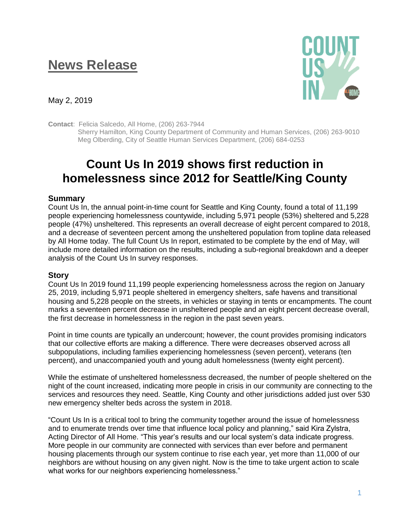## **News Release**



May 2, 2019

**Contact**: Felicia Salcedo, All Home, (206) 263-7944

 Sherry Hamilton, King County Department of Community and Human Services, (206) 263-9010 Meg Olberding, City of Seattle Human Services Department, (206) 684-0253

## **Count Us In 2019 shows first reduction in homelessness since 2012 for Seattle/King County**

## **Summary**

Count Us In, the annual point-in-time count for Seattle and King County, found a total of 11,199 people experiencing homelessness countywide, including 5,971 people (53%) sheltered and 5,228 people (47%) unsheltered. This represents an overall decrease of eight percent compared to 2018, and a decrease of seventeen percent among the unsheltered population from topline data released by All Home today. The full Count Us In report, estimated to be complete by the end of May, will include more detailed information on the results, including a sub-regional breakdown and a deeper analysis of the Count Us In survey responses.

## **Story**

Count Us In 2019 found 11,199 people experiencing homelessness across the region on January 25, 2019, including 5,971 people sheltered in emergency shelters, safe havens and transitional housing and 5,228 people on the streets, in vehicles or staying in tents or encampments. The count marks a seventeen percent decrease in unsheltered people and an eight percent decrease overall, the first decrease in homelessness in the region in the past seven years.

Point in time counts are typically an undercount; however, the count provides promising indicators that our collective efforts are making a difference. There were decreases observed across all subpopulations, including families experiencing homelessness (seven percent), veterans (ten percent), and unaccompanied youth and young adult homelessness (twenty eight percent).

While the estimate of unsheltered homelessness decreased, the number of people sheltered on the night of the count increased, indicating more people in crisis in our community are connecting to the services and resources they need. Seattle, King County and other jurisdictions added just over 530 new emergency shelter beds across the system in 2018.

"Count Us In is a critical tool to bring the community together around the issue of homelessness and to enumerate trends over time that influence local policy and planning," said Kira Zylstra, Acting Director of All Home. "This year's results and our local system's data indicate progress. More people in our community are connected with services than ever before and permanent housing placements through our system continue to rise each year, yet more than 11,000 of our neighbors are without housing on any given night. Now is the time to take urgent action to scale what works for our neighbors experiencing homelessness."